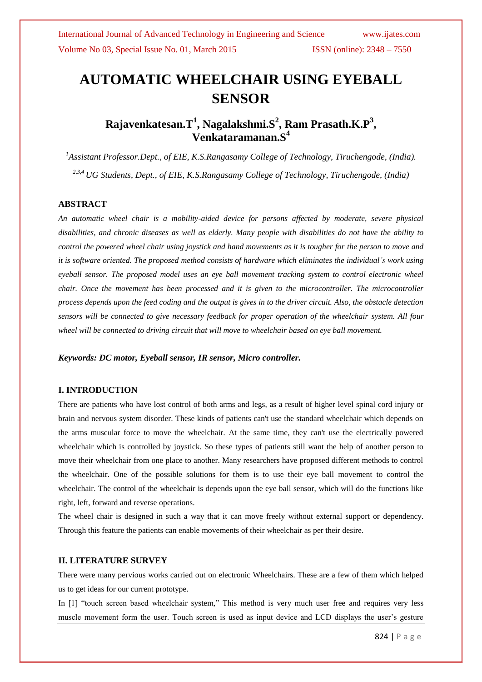# **AUTOMATIC WHEELCHAIR USING EYEBALL SENSOR**

# **Rajavenkatesan.T<sup>1</sup> , Nagalakshmi.S<sup>2</sup> , Ram Prasath.K.P<sup>3</sup> , Venkataramanan.S<sup>4</sup>**

*<sup>1</sup>Assistant Professor.Dept., of EIE, K.S.Rangasamy College of Technology, Tiruchengode, (India). 2,3,4 UG Students, Dept., of EIE, K.S.Rangasamy College of Technology, Tiruchengode, (India)*

#### **ABSTRACT**

*An automatic wheel chair is a mobility-aided device for persons affected by moderate, severe physical disabilities, and chronic diseases as well as elderly. Many people with disabilities do not have the ability to control the powered wheel chair using joystick and hand movements as it is tougher for the person to move and it is software oriented. The proposed method consists of hardware which eliminates the individual's work using eyeball sensor. The proposed model uses an eye ball movement tracking system to control electronic wheel chair. Once the movement has been processed and it is given to the microcontroller. The microcontroller process depends upon the feed coding and the output is gives in to the driver circuit. Also, the obstacle detection sensors will be connected to give necessary feedback for proper operation of the wheelchair system. All four wheel will be connected to driving circuit that will move to wheelchair based on eye ball movement.*

*Keywords: DC motor, Eyeball sensor, IR sensor, Micro controller.*

# **I. INTRODUCTION**

There are patients who have lost control of both arms and legs, as a result of higher level spinal cord injury or brain and nervous system disorder. These kinds of patients can't use the standard wheelchair which depends on the arms muscular force to move the wheelchair. At the same time, they can't use the electrically powered wheelchair which is controlled by joystick. So these types of patients still want the help of another person to move their wheelchair from one place to another. Many researchers have proposed different methods to control the wheelchair. One of the possible solutions for them is to use their eye ball movement to control the wheelchair. The control of the wheelchair is depends upon the eye ball sensor, which will do the functions like right, left, forward and reverse operations.

The wheel chair is designed in such a way that it can move freely without external support or dependency. Through this feature the patients can enable movements of their wheelchair as per their desire.

#### **II. LITERATURE SURVEY**

There were many pervious works carried out on electronic Wheelchairs. These are a few of them which helped us to get ideas for our current prototype.

In [1] "touch screen based wheelchair system," This method is very much user free and requires very less muscle movement form the user. Touch screen is used as input device and LCD displays the user"s gesture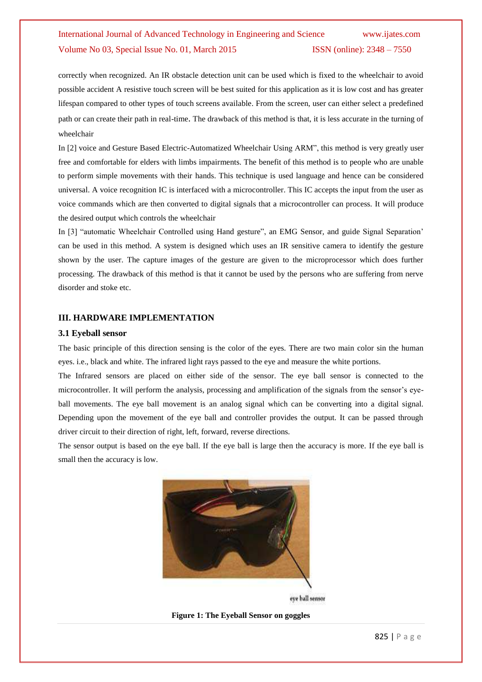# International Journal of Advanced Technology in Engineering and Science www.ijates.com Volume No 03, Special Issue No. 01, March 2015 ISSN (online): 2348 – 7550

correctly when recognized. An IR obstacle detection unit can be used which is fixed to the wheelchair to avoid possible accident A resistive touch screen will be best suited for this application as it is low cost and has greater lifespan compared to other types of touch screens available. From the screen, user can either select a predefined path or can create their path in real-time. The drawback of this method is that, it is less accurate in the turning of wheelchair

In [2] voice and Gesture Based Electric-Automatized Wheelchair Using ARM", this method is very greatly user free and comfortable for elders with limbs impairments. The benefit of this method is to people who are unable to perform simple movements with their hands. This technique is used language and hence can be considered universal. A voice recognition IC is interfaced with a microcontroller. This IC accepts the input from the user as voice commands which are then converted to digital signals that a microcontroller can process. It will produce the desired output which controls the wheelchair

In [3] "automatic Wheelchair Controlled using Hand gesture", an EMG Sensor, and guide Signal Separation" can be used in this method. A system is designed which uses an IR sensitive camera to identify the gesture shown by the user. The capture images of the gesture are given to the microprocessor which does further processing. The drawback of this method is that it cannot be used by the persons who are suffering from nerve disorder and stoke etc.

## **III. HARDWARE IMPLEMENTATION**

#### **3.1 Eyeball sensor**

The basic principle of this direction sensing is the color of the eyes. There are two main color sin the human eyes. i.e., black and white. The infrared light rays passed to the eye and measure the white portions.

The Infrared sensors are placed on either side of the sensor. The eye ball sensor is connected to the microcontroller. It will perform the analysis, processing and amplification of the signals from the sensor's eyeball movements. The eye ball movement is an analog signal which can be converting into a digital signal. Depending upon the movement of the eye ball and controller provides the output. It can be passed through driver circuit to their direction of right, left, forward, reverse directions.

The sensor output is based on the eye ball. If the eye ball is large then the accuracy is more. If the eye ball is small then the accuracy is low.



eye ball sensor

**Figure 1: The Eyeball Sensor on goggles**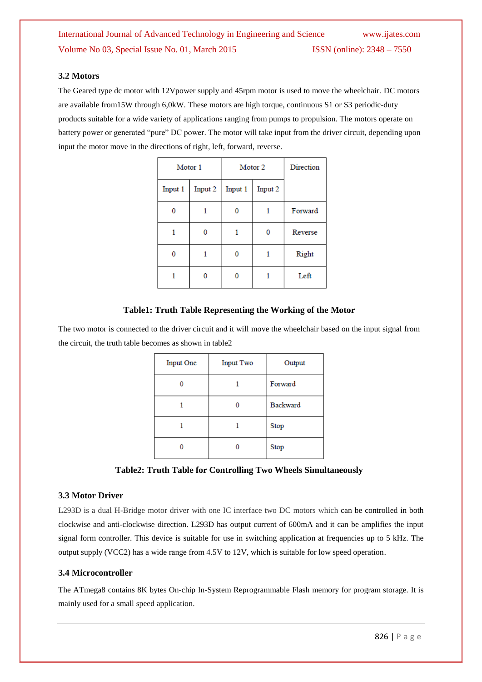# **3.2 Motors**

The Geared type dc motor with 12Vpower supply and 45rpm motor is used to move the wheelchair. DC motors are available from15W through 6,0kW. These motors are high torque, continuous S1 or S3 periodic-duty products suitable for a wide variety of applications ranging from pumps to propulsion. The motors operate on battery power or generated "pure" DC power. The motor will take input from the driver circuit, depending upon input the motor move in the directions of right, left, forward, reverse.

| Motor 1 |         | Motor 2 |         | Direction |
|---------|---------|---------|---------|-----------|
| Input 1 | Input 2 | Input 1 | Input 2 |           |
|         |         |         |         | Forward   |
|         |         |         |         | Reverse   |
|         |         |         |         | Right     |
|         |         |         |         | Left      |

# **Table1: Truth Table Representing the Working of the Motor**

The two motor is connected to the driver circuit and it will move the wheelchair based on the input signal from the circuit, the truth table becomes as shown in table2

| <b>Input One</b> | <b>Input Two</b> | Output          |
|------------------|------------------|-----------------|
|                  |                  | Forward         |
|                  |                  | <b>Backward</b> |
|                  |                  | Stop            |
|                  |                  | Stop            |

**Table2: Truth Table for Controlling Two Wheels Simultaneously**

#### **3.3 Motor Driver**

L293D is a dual H-Bridge motor driver with one IC interface two DC motors which can be controlled in both clockwise and anti-clockwise direction. L293D has output current of 600mA and it can be amplifies the input signal form controller. This device is suitable for use in switching application at frequencies up to 5 kHz. The output supply (VCC2) has a wide range from 4.5V to 12V, which is suitable for low speed operation.

## **3.4 Microcontroller**

The ATmega8 contains 8K bytes On-chip In-System Reprogrammable Flash memory for program storage. It is mainly used for a small speed application.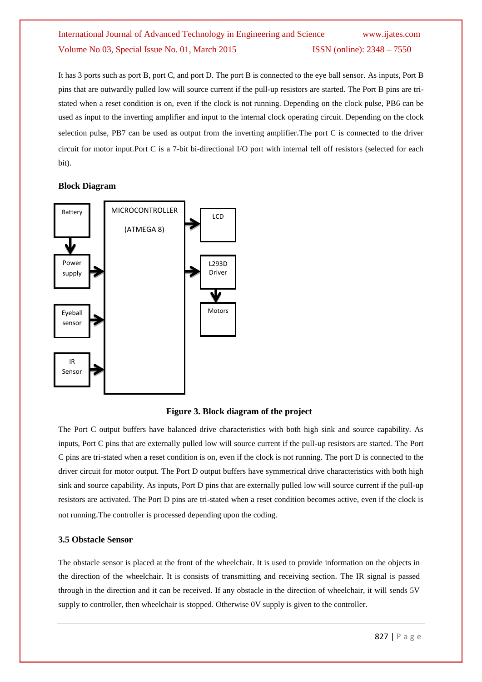# International Journal of Advanced Technology in Engineering and Science www.ijates.com Volume No 03, Special Issue No. 01, March 2015 **ISSN** (online): 2348 – 7550

It has 3 ports such as port B, port C, and port D. The port B is connected to the eye ball sensor. As inputs, Port B pins that are outwardly pulled low will source current if the pull-up resistors are started. The Port B pins are tristated when a reset condition is on, even if the clock is not running. Depending on the clock pulse, PB6 can be used as input to the inverting amplifier and input to the internal clock operating circuit. Depending on the clock selection pulse, PB7 can be used as output from the inverting amplifier.The port C is connected to the driver circuit for motor input.Port C is a 7-bit bi-directional I/O port with internal tell off resistors (selected for each bit).

### **Block Diagram**



**Figure 3. Block diagram of the project**

The Port C output buffers have balanced drive characteristics with both high sink and source capability. As inputs, Port C pins that are externally pulled low will source current if the pull-up resistors are started. The Port C pins are tri-stated when a reset condition is on, even if the clock is not running. The port D is connected to the driver circuit for motor output. The Port D output buffers have symmetrical drive characteristics with both high sink and source capability. As inputs, Port D pins that are externally pulled low will source current if the pull-up resistors are activated. The Port D pins are tri-stated when a reset condition becomes active, even if the clock is not running.The controller is processed depending upon the coding.

#### **3.5 Obstacle Sensor**

The obstacle sensor is placed at the front of the wheelchair. It is used to provide information on the objects in the direction of the wheelchair. It is consists of transmitting and receiving section. The IR signal is passed through in the direction and it can be received. If any obstacle in the direction of wheelchair, it will sends 5V supply to controller, then wheelchair is stopped. Otherwise 0V supply is given to the controller.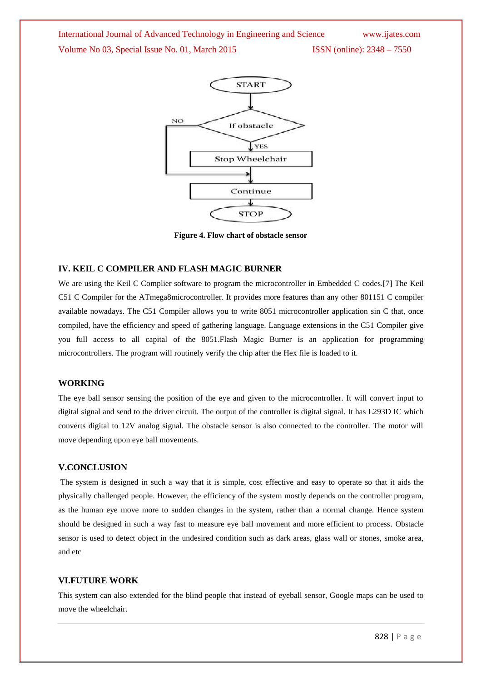International Journal of Advanced Technology in Engineering and Science www.ijates.com Volume No 03, Special Issue No. 01, March 2015 ISSN (online): 2348 – 7550

![](_page_4_Figure_1.jpeg)

**Figure 4. Flow chart of obstacle sensor**

#### **IV. KEIL C COMPILER AND FLASH MAGIC BURNER**

We are using the Keil C Complier software to program the microcontroller in Embedded C codes.[7] The Keil C51 C Compiler for the ATmega8microcontroller. It provides more features than any other 801151 C compiler available nowadays. The C51 Compiler allows you to write 8051 microcontroller application sin C that, once compiled, have the efficiency and speed of gathering language. Language extensions in the C51 Compiler give you full access to all capital of the 8051.Flash Magic Burner is an application for programming microcontrollers. The program will routinely verify the chip after the Hex file is loaded to it.

#### **WORKING**

The eye ball sensor sensing the position of the eye and given to the microcontroller. It will convert input to digital signal and send to the driver circuit. The output of the controller is digital signal. It has L293D IC which converts digital to 12V analog signal. The obstacle sensor is also connected to the controller. The motor will move depending upon eye ball movements.

## **V.CONCLUSION**

The system is designed in such a way that it is simple, cost effective and easy to operate so that it aids the physically challenged people. However, the efficiency of the system mostly depends on the controller program, as the human eye move more to sudden changes in the system, rather than a normal change. Hence system should be designed in such a way fast to measure eye ball movement and more efficient to process. Obstacle sensor is used to detect object in the undesired condition such as dark areas, glass wall or stones, smoke area, and etc

#### **VI.FUTURE WORK**

This system can also extended for the blind people that instead of eyeball sensor, Google maps can be used to move the wheelchair.